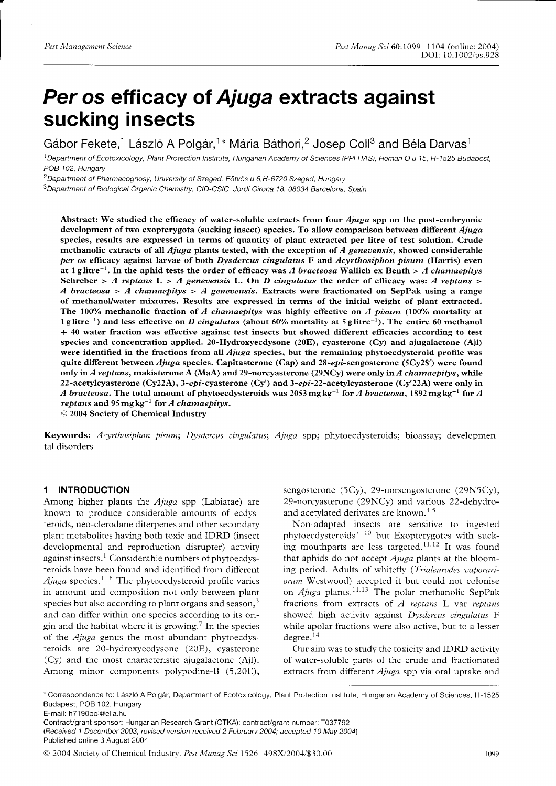# Per os efficacy of Ajuga extracts against sucking insects

Gábor Fekete,<sup>1</sup> László A Polgár,<sup>1\*</sup> Mária Báthori,<sup>2</sup> Josep Coll<sup>3</sup> and Béla Darvas<sup>1</sup>

<sup>1</sup> Department of Ecotoxicology, Plant Protection Institute, Hungarian Academy of Sciences (PPI HAS), Heman O u 15, H-1525 Budapest, POB 102, Hungary

<sup>2</sup> Department of Pharmacognosy, University of Szeged, Eötvös u 6,H-6720 Szeged, Hungary

<sup>3</sup>Department of Biological Organic Chemistry, CID-CSIC, Jordi Girona 18, 08034 Barcelona, Spain

Abstract: We studied the efficacy of water-soluble extracts from four *Ajuga* spp on the post-embryonic development of two exopterygota (sucking insect) species. To allow comparison between different Ajuga species, results are expressed in terrns of quantity of plant extracted per litre of test solution. Crude methanolic extracts of all  $Ajuga$  plants tested, with the exception of  $A$  genevensis, showed considerable per os efficacy against larvae of both Dysdercus cingulatus F and Acyrthosiphon pisum (Harris) even at 1 g litre<sup>-1</sup>. In the aphid tests the order of efficacy was A bracteosa Wallich ex Benth > A chamaepitys Schreber > A reptans L > A genevensis L. On D cingulatus the order of efficacy was: A reptans > A bracteosa > A chamaepitys > A genevensis. Extracts were fractionated on SepPak using a range of rnethanoUwater rnixtures. Results are expressed in terrns of the initial weight of plant extracted. The 100% methanolic fraction of A chamaepitys was highly effective on A pisum (100% mortality at 1 glitre<sup>-1</sup>) and less effective on D cingulatus (about 60% mortality at 5 glitre<sup>-1</sup>). The entire 60 methanol \* 40 water fraction was effective against test insects but showed different efficacies according to test species and concentration applied. 2O-Hydroxyecdysone (20E), cyasterone (Cy) and ajugalactone (Ajl) were identified in the fractions from all *Ajuga* species, but the remaining phytoecdysteroid profile was quite different between Ajuga species. Capitasterone (Cap) and 28-epi-sengosterone (5Cy28') were found only in A reptans, makisterone A (MaA) and 29-norcy asterone (29NCy) were only in A chamaepitys, while 22-acetylcyasterone (Cy22A), 3-epi-cyasterone (Cy') and 3-epi-22-acetylcyasterone (Cy'22A) were only in A bracteosa. The total amount of phytoecdysteroids was 2053 mg kg<sup>-1</sup> for A bracteosa, 1892 mg kg<sup>-1</sup> for A reptans and  $95 \text{ mg kg}^{-1}$  for A chamaepitys.

O 2004 Society of Chemical Industry

Keywords: Acyrthosiphon pisum; Dysdercus cingulatus; Ajuga spp; phytoecdysteroids; bioassay; developmental disorders

#### 1 INTRODUCTION

Among higher plants the  $Ajuga$  spp (Labiatae) are known to produce considerable amounts of ecdysteroids, neo-clerodane diterpenes and other secondary plant metabolites having both toxic and IDRD (insect developmental and reproduction disrupter) activity against insects.<sup>1</sup> Considerable numbers of phytoecdysteroids have been found and identified from different Ajuga species.<sup>1-6</sup> The phytoecdysteroid profile varies in amount and composition not only between plant species but also according to plant organs and season, $3$ and can differ within one species according to its origin and the habitat where it is growing.<sup>7</sup> In the species of the Ajuga genus the most abundant phytoecdysteroids are 20-hydroxyecdysone (20E), cyasterone (Cy) and the most characteristic ajugalactone (Ajl). Among minor components polypodine-B (5,20E),

sengosterone (5Cy), 29-norsengosterone (29N5Cy), 29-norcyasterone (29NCy) and various 22-dehydroand acetylated derivates are known. $4.5$ 

Non-adapted insects are sensitive to ingested phytoecdysteroids<sup>7-10</sup> but Exopterygotes with sucking mouthparts are less targeted.<sup>11,12</sup> It was found that aphids do not accept  $Ajuga$  plants at the blooming period. Adults of whitefly (Trialeurodes vaporariorum Westwood) accepted it but could not colonise on  $Ajuga$  plants.<sup>11.13</sup> The polar methanolic SepPak fractions from extracts of  $A$  reptans  $L$  var reptans showed high activity against Dysdercus cingulatus F while apolar fractions were also active, but to a lesser degree. $14$ 

Our aim was to study the toxicity and IDRD activity of water-soluble parts of the crude and fractionated extracts from different *Ajuga* spp via oral uptake and

E-mail: h71 90pol@ella.hu

<sup>\*</sup> Correspondence to: Ldszlo A Polgdr, Department of Ecotoxicology, Plant Protection Institute, Hungarian Academy of Sciences, H-1525 Budapest, POB 102, Hungary

Contract/grant sponsor: Hungarian Research Grant (OTKA); contract/grant number: f037792 (Received 1 December 2003; revised version received 2 February 2004; accepted 10 May 2004\ Published online 3 August 2004

O 2004 Society of Chemical Industry. Pest Manag Sci 1526-198X/2004/\$30.00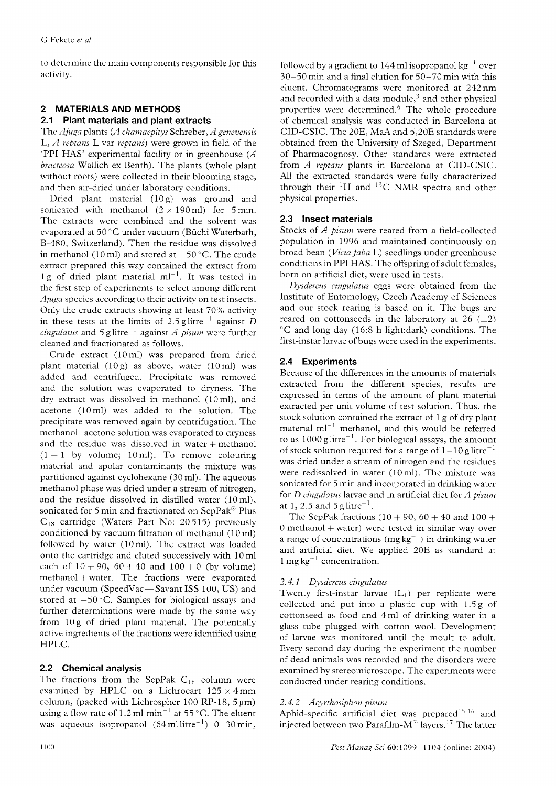to determine the main components responsible for this activity.

# 2 MATERIALS AND METHODS

### 2.1 Plant materials and plant extracts

The Ajuga plants (A chamaepitys Schreber, A genevensis L,  $A$  reptans L var reptans) were grown in field of the 'PPI HAS' experimental facility or in greenhouse  $(A)$ bracteosa Wallich ex Benth). The plants (whole plant without roots) were collected in their blooming stage, and then air-dried under laboratory conditions.

Dried plant material  $(10 g)$  was ground and sonicated with methanol  $(2 \times 190 \text{ ml})$  for 5 min. The extracts were combined and the solvent was evaporated at 50 °C under vacuum (Büchi Waterbath, 8-480, Switzerland). Then the residue was dissolved in methanol (10 ml) and stored at  $-50^{\circ}$ C. The crude extract prepared this way contained the extract from 1 g of dried plant material  $ml^{-1}$ . It was tested in the first step of experiments to select among different Ajuga species according to their activity on test insects. Only the crude extracts showing at least  $70\%$  activity in these tests at the limits of 2.5 glitre<sup>-1</sup> against D cingulatus and  $5$  g litre<sup>-1</sup> against A pisum were further cleaned and fractionated as follows.

Crude extract (i0ml) was prepared from dried plant material  $(10g)$  as above, water  $(10m)$  was added and centrifuged. Precipitate was removed and the solution was evaporated to dryness. The dry extract was dissolved in methanol (10m1), and acetone (10m1) was added to the solution. The precipitate was removed again by centrifugation. The methanol-acetone solution was evaporated to dryness and the residue was dissolved in water  $+$  methanol  $(1 + 1)$  by volume; 10 ml). To remove colouring material and apolar contaminants the mixture was partitioned against cyclohexane (30 ml). The aqueous methanol phase was dried under a stream of nitrogen, and the residue dissolved in distilled water  $(10 \text{ ml})$ , sonicated for 5 min and fractionated on SepPak<sup>®</sup> Plus  $C_{18}$  cartridge (Waters Part No: 20515) previously conditioned by vacuum filtration of methanol (10 ml) followed by water (l0ml). The extract was loaded onto the cartridge and eluted successively with l0ml each of  $10 + 90$ ,  $60 + 40$  and  $100 + 0$  (by volume)  $methanol + water$ . The fractions were evaporated under vacuum (SpeedVac-Savant ISS 100, US) and stored at  $-50^{\circ}$ C. Samples for biological assays and further determinations were made by the same way from 10g of dried plant material. The potentially active ingredients of the fractions were identified using HPLC.

# 2.2 Chemical analysis

The fractions from the SepPak  $C_{18}$  column were examined by HPLC on a Lichrocart  $125 \times 4 \text{ mm}$ column, (packed with Lichrospher 100 RP-18, 5 um) using a flow rate of 1.2 ml min<sup>-1</sup> at 55 °C. The eluent was aqueous isopropanol  $(64 \text{ ml litre}^{-1})$  0-30 min, followed by a gradient to 144 ml isopropanol kg<sup>-1</sup> over 30-50 min and a final elution for 50-70 min with this eluent. Chromatograms were monitored at 242nm and recorded with a data module, $3$  and other physical properties were determined.<sup>6</sup> The whole procedure of chemical analysis was conducted in Barcelona at CID-CSIC. The 20E, MaA and 5,20E standards were obtained from the University of Szeged, Department of Pharmacognosy. Other standards were extracted from A reptans plants in Barcelona at CID-CSIC. All the extracted standards were fully characterized through their  ${}^{1}H$  and  ${}^{13}C$  NMR spectra and other physical properties.

# 2.3 Insect materials

Stocks of A pisum were reared from a field-collected population in 1996 and maintained continuously on broad bean (Vicia faba L) seedlings under greenhouse conditions in PPI HAS. The offspring of adult females, born on artificial diet, were used in tests.

Dysdercus cingulatus eggs were obtained from the Institute of Entomology, Czech Academy of Sciences and our stock rearing is based on it. The bugs are reared on cottonseeds in the laboratory at 26  $(\pm 2)$ 'C and long day (16:8 h light:dark) conditions. The first-instar larvae of bugs were used in the experiments.

# 2.4 Experiments

Because of the differences in the amounts of materials extracted from the different species, results are expressed in terms of the amount of plant material extracted per unit volume of test solution. Thus, the stock solution contained the extract of I g of dry plant material  $ml^{-1}$  methanol, and this would be referred to as  $1000 \text{ g litre}^{-1}$ . For biological assays, the amount of stock solution required for a range of  $1-10$  g litre<sup>-1</sup> was dried under a stream of nitrogen and the residues were redissolved in water (l0ml). The mixture was sonicated for 5 min and incorporated in drinking water for  $D$  cingulatus larvae and in artificial diet for  $A$  pisum at 1, 2.5 and 5 g litre<sup>-1</sup>.

The SepPak fractions  $(10 + 90, 60 + 40$  and  $100 +$  $0$  methanol  $+$  water) were tested in similar way over a range of concentrations (mg kg<sup>-1</sup>) in drinking water and artificial diet. Ve applied 20E as standard at  $1 \text{ mg} \text{ kg}^{-1}$  concentration.

# 2.4. I Dysdercus cingulatus

Twenty first-instar larvae  $(L_1)$  per replicate were collected and put into a plastic cup with 1.5g of cottonseed as food and 4 ml of drinking water in a glass tube plugged with cotton wool. Development of larvae was monitored until the moult to adult. Every second day during the experiment the number of dead animals was recorded and the disorders were examined by stereomicroscope. The experiments were conducted under rearing conditions.

# 2.4.2 Acyrthosiphon pisum

Aphid-specific artificial diet was prepared<sup>15,16</sup> and injected between two Parafilm- $M^{\circledast}$  layers.<sup>17</sup> The latter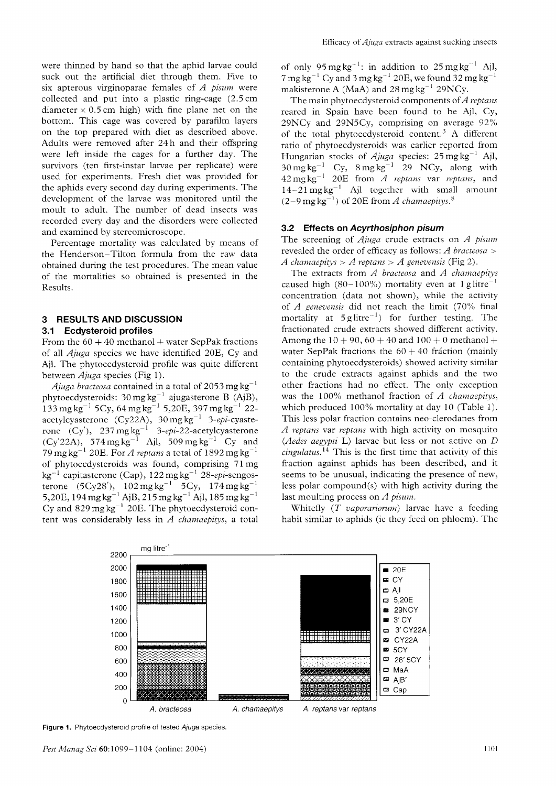were thinned by hand so that the aphid larvae could suck out the artificial diet through them. Five to six apterous virginoparae females of  $A$  pisum were collected and put into a plastic ring-cage  $(2.5 \text{ cm})$ diameter  $\times$  0.5 cm high) with fine plane net on the bottom. This cage was covered by parafilm layers on the top prepared with diet as described above. Adults were removed after 24h and their offspring were left inside the cages for a further day. The survivors (ten first-instar larvae per replicate) were used for experiments. Fresh diet was provided for the aphids every second day during experiments. The development of the larvae was monitored until the moult to adult. The number of dead insects was recorded every day and the disorders were collected and examined by stereomicroscope.

Percentage mortality was calculated by means of the Henderson-Tilton formula from the raw data obtained during the test procedures. The mean value of the mortalities so obtained is presented in the Results.

#### 3 RESULTS AND DISCUSSION 3.1 Ecdysteroid profiles

From the  $60 + 40$  methanol + water SepPak fractions of all  $A_\mu$ ga species we have identified 20E, Cy and Ajl. The phytoecdysteroid profile was quite different between  $A_j$ *uga* species (Fig 1).

*Ajuga bracteosa* contained in a total of 2053 mg kg<sup>-1</sup> phytoecdysteroids: 30 mg kg<sup>-1</sup> ajugasterone B (AjB),  $\frac{133}{133}$  mg kg<sup>-1</sup> 5Cy, 64 mg kg<sup>-1</sup> 5,20E, 397 mg kg<sup>-1</sup> 22acetylcyasterone (Cy22A),  $30 \,\text{mg}\,\text{kg}^{-1}$  3-epi-cyasterone  $(Cy')$ , 237 mg kg<sup>-1</sup> 3-epi-22-acetylcyasterone  $(Cy'22A)$ , 574 mg kg<sup>-1</sup> Ajl, 509 mg kg<sup>-1</sup> Cy and 79 mg kg<sup>-1</sup> 20E. For A reptans a total of 1892 mg kg<sup>-1</sup> of phytoecdysteroids was found, comprising 7l mg kg<sup>-1</sup> capitasterone (Cap), 122 mg kg<sup>-1</sup> 28-epi-sengosterone (5Cy28'),  $102 \text{ mg kg}^{-1}$  5Cy,  $174 \text{ mg kg}^{-1}$ 5,20E, 194 mg kg<sup>-1</sup> AjB, 215 mg kg<sup>-1</sup> Ajl, 185 mg kg<sup>-1</sup> Cy and  $829 \text{ mg kg}^{-1}$  20E. The phytoecdysteroid content was considerably less in  $A$  chamaepitys, a total

of only  $95 \text{ mg kg}^{-1}$ : in addition to  $25 \text{ mg kg}^{-1}$  Ajl, 7 mg kg<sup>-1</sup> Cy and 3 mg kg<sup>-1</sup> 20E, we found  $32$  mg kg<sup>-1</sup> makisterone A (MaA) and  $28 \text{ mg} \text{ kg}^{-1}$   $29 \text{NCy}$ .

The main phytoecdysteroid components of  $A$  reptans reared in Spain have been found to be Ajl, Cy, 29NCy and 29N5Cy, comprising on average  $92\%$ of the total phytoecdysteroid content.<sup>3</sup> A different ratio of phytoecdysteroids was earlier reported from Hungarian stocks of *Ajuga* species: 25 mg kg<sup>-1</sup> Ajl,  $30 \text{ mg kg}^{-1}$  Cy,  $8 \text{ mg kg}^{-1}$  29 NCy, along with  $42 \,\mathrm{mg}\,\mathrm{kg}^{-1}$  $14-21$  mg kg<sup>-1</sup> Ajl together with small amount  $(2-9 \text{ mg kg}^{-1})$  of 20E from A chamaepitys.<sup>8</sup>

#### 3.2 Effects on Acyrthosiphon pisum

The screening of  $A_j$ iuga crude extracts on  $A$  pisum revealed the order of efficacy as follows:  $A$  bracteosa > A chamaepitys > A reptans > A genevensis (Fig 2).

The extracts from  $A$  bracteosa and  $A$  chamaepitys caused high (80-100%) mortality even at  $1 \text{ g litre}^{-1}$ concentration (data not shown), while the activity of A genevensis did not reach the limit  $(70\%$  final mortality at  $5 \text{ g litre}^{-1}$  for further testing. The fractionated crude extracts showed different activity. Among the  $10 + 90$ ,  $60 + 40$  and  $100 + 0$  methanol + water SepPak fractions the  $60 + 40$  fraction (mainly containing phytoecdysteroids) showed activity similar to the crude extracts against aphids and the two other fractions had no effect. The only exception was the  $100\%$  methanol fraction of A chamaepitys, which produced 100% mortality at day 10 (Table 1). This less polar fraction contains neo-clerodanes from A reptans var reptans with high activity on mosquito (Aedes aegypti L) larvae but less or not active on  $D$  $cingularus$ <sup>14</sup> This is the first time that activity of this fraction against aphids has been described, and it seems to be unusual, indicating the presence of new, less polar compound(s) with high activity during the last moulting process on  $A$  pisum.

Whitefly  $(T$  vaporariorum) larvae have a feeding habit similar to aphids (ie they feed on phloem). The



**Figure 1.** Phytoecdysteroid profile of tested Ajuga species.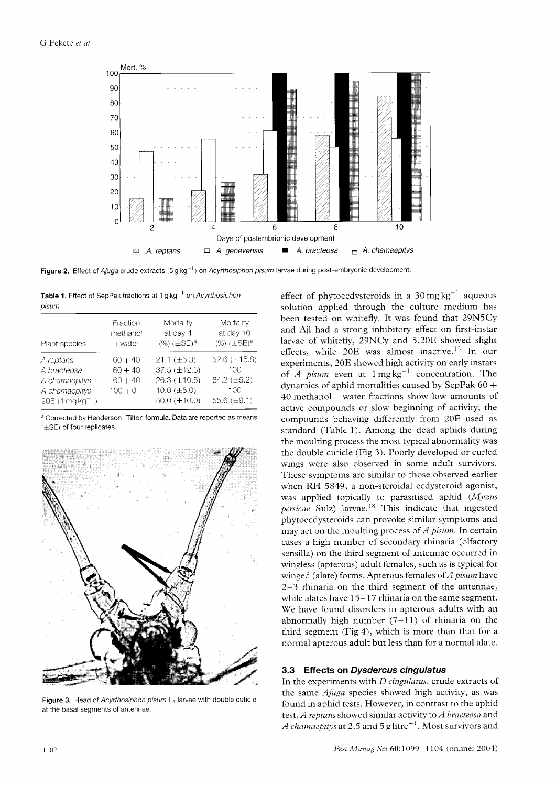

Figure 2. Effect of Ajuga crude extracts (5 g kg<sup>-1</sup>) on Acyrthosiphon pisum larvae during post-embryonic development.

| Table 1. Effect of SepPak fractions at 1 g kg <sup>-1</sup> on Acyrthosiphon |  |
|------------------------------------------------------------------------------|--|
| pisum                                                                        |  |

| Plant species                                                                   | Fraction<br>methanol<br>$+$ water                | Mortality<br>at day 4<br>$(\%)$ ( $\pm$ SE) <sup>a</sup>                                                    | Mortality<br>at day 10<br>$(%) (\pm SE)^{a}$                            |
|---------------------------------------------------------------------------------|--------------------------------------------------|-------------------------------------------------------------------------------------------------------------|-------------------------------------------------------------------------|
| A reptans<br>A bracteosa<br>A chamaepitys<br>A chamaepitys<br>$20E(1mgkg^{-1})$ | $60 + 40$<br>$60 + 40$<br>$60 + 40$<br>$100 + 0$ | $21.1 (\pm 5.3)$<br>$37.5 \ (\pm 12.5)$<br>$26.3 \ (\pm 10.5)$<br>$10.0$ ( $\pm 5.0$ )<br>50.0 $(\pm 10.0)$ | 52.6 $(\pm 15.8)$<br>100<br>84.2 $(\pm 5.2)$<br>100<br>55.6 $(\pm 9.1)$ |

<sup>a</sup> Corrected by Henderson-Tilton formula. Data are reported as means  $(\pm S\mathsf{E})$  of four replicates.



Figure 3. Head of Acyrthosiphon pisum L<sub>4</sub> larvae with double cuticle at the basal segments of antennae.

effect of phytoecdysteroids in a  $30 \text{ mg} \text{ kg}^{-1}$  aqueous solution applied through the culture medium has been tested on whitefly. It was found that 29N5Cy and Ajl had a strong inhibitory effect on first-instar larvae of whitefly, 29NCy and 5,20E showed slight effects, while  $20E$  was almost inactive.<sup>13</sup> In our experiments, 20E showed high activity on early instars of A pisum even at  $1 \text{ mg kg}^{-1}$  concentration. The dynamics of aphid mortalities caused by SepPak  $60 +$ 40 methanol + water fractions show low amounts of active compounds or slow beginning of activity, the compounds behaving differently from 20E used as standard (Table 1). Among the dead aphids during the moulting process the most typical abnormality was the double cuticle (Fig 3). Poorly developed or curled wings were also observed in some adult survivors. These symptoms are similar to those observed earlier when RH 5849, a non-steroidal ecdysteroid agonist, was applied topically to parasitised aphid (Myzus persicae Sulz) larvae.<sup>18</sup> This indicate that ingested phytoecdysteroids can provoke similar symptoms and may act on the moulting process of  $A$  pisum. In certain cases a high number of secondary rhinaria (olfactory sensilla) on the third segment of antennae occurred in wingless (apterous) adult females, such as is typical for winged (alate) forms. Apterous females of  $A$  pisum have  $2-3$  rhinaria on the third segment of the antennae, while alates have  $15-17$  rhinaria on the same segment. We have found disorders in apterous adults with an abnormally high number  $(7-11)$  of rhinaria on the third segment (Fig 4), which is more than that for a normal apterous adult but less than for a normal alate.

#### 3.3 Effects on Dysdercus cingulatus

In the experiments with *D* cingulatus, crude extracts of the same Ajuga species showed high activity, as was found in aphid tests. However, in contrast to the aphid test, A reptans showed similar activity to A bracteosa and A chamaepitys at 2.5 and 5 g litre<sup>-1</sup>. Most survivors and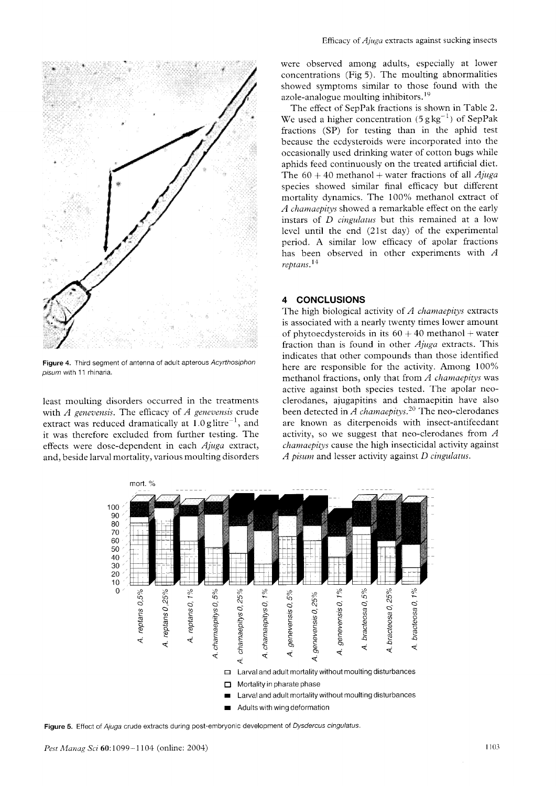

Figure 4. Third segment of antenna of adult apterous Acyrthosiphon pisum with 11 rhinaria.

least moulting disorders occurred in the treatments with  $A$  genevensis. The efficacy of  $A$  genevensis crude extract was reduced dramatically at  $1.0$  glitre<sup> $-1$ </sup>, and it was therefore excluded from further testing. The effects were dose-dependent in each Ajuga extract, and, beside larval mortality, various moulting disorders

were observed among adults, especially at lower concentrations (Fig 5). The moulting abnormalities showed symptoms similar to those found with the azole-analogue moulting inhibitors.<sup>19</sup>

The effect of SepPak fractions is shown in Table 2. We used a higher concentration  $(5 g \text{kg}^{-1})$  of SepPak fractions (SP) for testing than in the aphid test because the ecdysteroids were incorporated into the occasionally used drinking water of cotton bugs while aphids feed continuously on the treated artificial diet. The  $60 + 40$  methanol + water fractions of all *Ajuga* species showed similar final efficacy but different mortality dynamics. The 100'% methanol extract of A chamaepitys showed a remarkable effect on the early instars of D cingulatus but this remained at a low level until the end (21st day) of the experimental period. A similar low efficacy of apolar fractions has been observed in other experiments with  $A$ reptans.<sup>1</sup>'

#### 4 CONCLUSIONS

The high biological activity of  $A$  chamaepitys extracts is associated with a nearly twenty times lower amount of phytoecdysteroids in its  $60 + 40$  methanol + water fraction than is found in other  $Ajuga$  extracts. This indicates that other compounds than those identified here are responsible for the activity. Among 100% methanol fractions, only that from  $A$  chamaepitys was active against both species tested. The apolar neoclerodanes, ajugapitins and chamaepitin have also been detected in  $\overline{A}$  chamaepitys.<sup>20</sup> The neo-clerodanes are known as diterpenoids with insect-antifeedant activity, so we suggest that neo-clerodanes from  $A$ chamaepitys cause the high insecticidal activity against A pisum and lesser activity against  $D$  cingulatus.



Figure 5. Effect of Ajuga crude extracts during post-embryonic development of Dysdercus cingulatus.